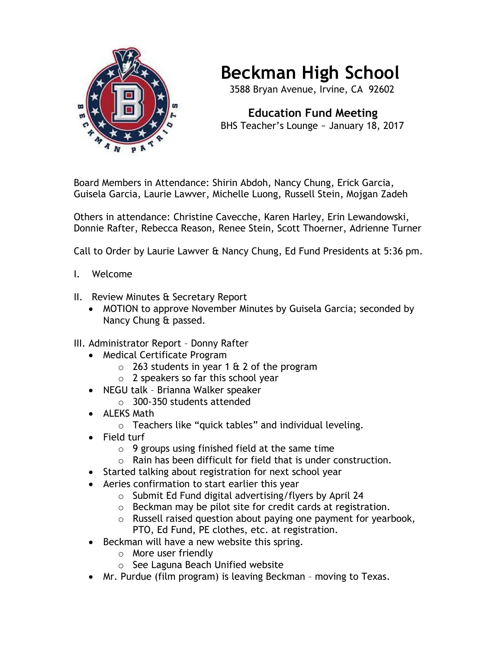

## **Beckman High School**

3588 Bryan Avenue, Irvine, CA 92602

 **Education Fund Meeting** BHS Teacher's Lounge ~ January 18, 2017

Board Members in Attendance: Shirin Abdoh, Nancy Chung, Erick Garcia, Guisela Garcia, Laurie Lawver, Michelle Luong, Russell Stein, Mojgan Zadeh

Others in attendance: Christine Cavecche, Karen Harley, Erin Lewandowski, Donnie Rafter, Rebecca Reason, Renee Stein, Scott Thoerner, Adrienne Turner

Call to Order by Laurie Lawver & Nancy Chung, Ed Fund Presidents at 5:36 pm.

- I. Welcome
- II. Review Minutes & Secretary Report
	- MOTION to approve November Minutes by Guisela Garcia; seconded by Nancy Chung & passed.
- III. Administrator Report Donny Rafter
	- Medical Certificate Program
		- $\circ$  263 students in year 1 & 2 of the program
		- o 2 speakers so far this school year
	- NEGU talk Brianna Walker speaker o 300-350 students attended
	- ALEKS Math
		- o Teachers like "quick tables" and individual leveling.
	- Field turf
		- $\circ$  9 groups using finished field at the same time
		- o Rain has been difficult for field that is under construction.
	- Started talking about registration for next school year
	- Aeries confirmation to start earlier this year
		- o Submit Ed Fund digital advertising/flyers by April 24
		- o Beckman may be pilot site for credit cards at registration.
		- o Russell raised question about paying one payment for yearbook, PTO, Ed Fund, PE clothes, etc. at registration.
	- Beckman will have a new website this spring.
		- o More user friendly
		- o See Laguna Beach Unified website
	- Mr. Purdue (film program) is leaving Beckman moving to Texas.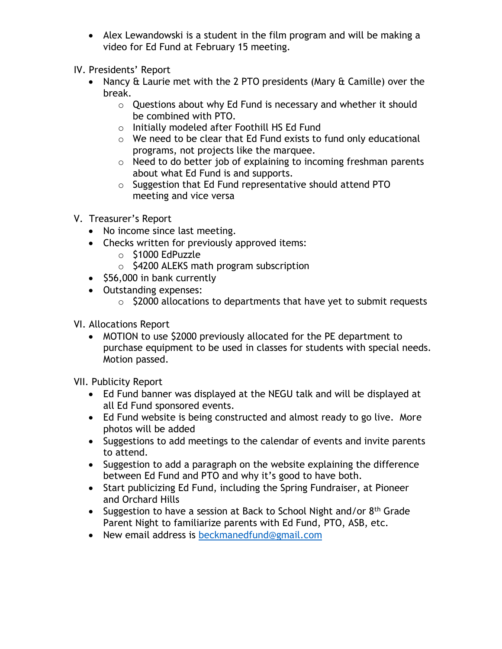- Alex Lewandowski is a student in the film program and will be making a video for Ed Fund at February 15 meeting.
- IV. Presidents' Report
	- Nancy & Laurie met with the 2 PTO presidents (Mary & Camille) over the break.
		- o Questions about why Ed Fund is necessary and whether it should be combined with PTO.
		- o Initially modeled after Foothill HS Ed Fund
		- o We need to be clear that Ed Fund exists to fund only educational programs, not projects like the marquee.
		- o Need to do better job of explaining to incoming freshman parents about what Ed Fund is and supports.
		- o Suggestion that Ed Fund representative should attend PTO meeting and vice versa
- V. Treasurer's Report
	- No income since last meeting.
	- Checks written for previously approved items:
		- o \$1000 EdPuzzle
		- o \$4200 ALEKS math program subscription
	- \$56,000 in bank currently
	- Outstanding expenses:
		- $\circ$  \$2000 allocations to departments that have yet to submit requests
- VI. Allocations Report
	- MOTION to use \$2000 previously allocated for the PE department to purchase equipment to be used in classes for students with special needs. Motion passed.

VII. Publicity Report

- Ed Fund banner was displayed at the NEGU talk and will be displayed at all Ed Fund sponsored events.
- Ed Fund website is being constructed and almost ready to go live. More photos will be added
- Suggestions to add meetings to the calendar of events and invite parents to attend.
- Suggestion to add a paragraph on the website explaining the difference between Ed Fund and PTO and why it's good to have both.
- Start publicizing Ed Fund, including the Spring Fundraiser, at Pioneer and Orchard Hills
- Suggestion to have a session at Back to School Night and/or 8<sup>th</sup> Grade Parent Night to familiarize parents with Ed Fund, PTO, ASB, etc.
- New email address is [beckmanedfund@gmail.com](mailto:beckmanedfund@gmail.com)